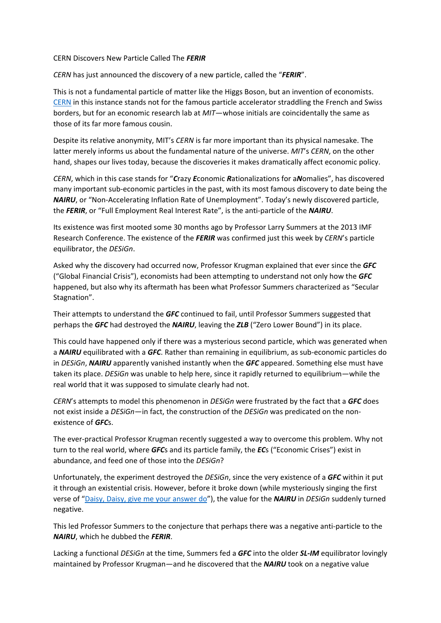## CERN Discovers New Particle Called The *FERIR*

*CERN* has just announced the discovery of a new particle, called the "*FERIR*".

This is not a fundamental particle of matter like the Higgs Boson, but an invention of economists. CERN in this instance stands not for the famous particle accelerator straddling the French and Swiss borders, but for an economic research lab at *MIT*—whose initials are coincidentally the same as those of its far more famous cousin.

Despite its relative anonymity, MIT's *CERN* is far more important than its physical namesake. The latter merely informs us about the fundamental nature of the universe. *MIT*'s *CERN*, on the other hand, shapes our lives today, because the discoveries it makes dramatically affect economic policy.

*CERN*, which in this case stands for "*C*razy *E*conomic *R*ationalizations for a*N*omalies", has discovered many important sub‐economic particles in the past, with its most famous discovery to date being the *NAIRU*, or "Non-Accelerating Inflation Rate of Unemployment". Today's newly discovered particle, the *FERIR*, or "Full Employment Real Interest Rate", is the anti‐particle of the *NAIRU*.

Its existence was first mooted some 30 months ago by Professor Larry Summers at the 2013 IMF Research Conference. The existence of the *FERIR* was confirmed just this week by *CERN*'s particle equilibrator, the *DESiGn*.

Asked why the discovery had occurred now, Professor Krugman explained that ever since the *GFC* ("Global Financial Crisis"), economists had been attempting to understand not only how the *GFC* happened, but also why its aftermath has been what Professor Summers characterized as "Secular Stagnation".

Their attempts to understand the *GFC* continued to fail, until Professor Summers suggested that perhaps the *GFC* had destroyed the *NAIRU*, leaving the *ZLB* ("Zero Lower Bound") in its place.

This could have happened only if there was a mysterious second particle, which was generated when a *NAIRU* equilibrated with a *GFC*. Rather than remaining in equilibrium, as sub‐economic particles do in *DESiGn*, *NAIRU* apparently vanished instantly when the *GFC* appeared. Something else must have taken its place. *DESiGn* was unable to help here, since it rapidly returned to equilibrium—while the real world that it was supposed to simulate clearly had not.

*CERN*'s attempts to model this phenomenon in *DESiGn* were frustrated by the fact that a *GFC* does not exist inside a *DESiGn*—in fact, the construction of the *DESiGn* was predicated on the nonexistence of *GFC*s.

The ever-practical Professor Krugman recently suggested a way to overcome this problem. Why not turn to the real world, where *GFC*s and its particle family, the *EC*s ("Economic Crises") exist in abundance, and feed one of those into the *DESiGn*?

Unfortunately, the experiment destroyed the *DESiGn*, since the very existence of a *GFC* within it put it through an existential crisis. However, before it broke down (while mysteriously singing the first verse of "Daisy, Daisy, give me your answer do"), the value for the *NAIRU* in *DESiGn* suddenly turned negative.

This led Professor Summers to the conjecture that perhaps there was a negative anti‐particle to the *NAIRU*, which he dubbed the *FERIR*.

Lacking a functional *DESiGn* at the time, Summers fed a *GFC* into the older *SL‐IM* equilibrator lovingly maintained by Professor Krugman—and he discovered that the *NAIRU* took on a negative value